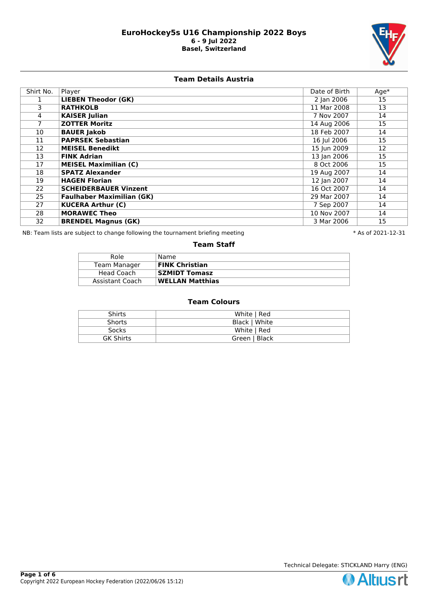

# **Team Details Austria**

| Shirt No. | Player                           | Date of Birth | $Age*$ |
|-----------|----------------------------------|---------------|--------|
|           | <b>LIEBEN Theodor (GK)</b>       | 2 Jan 2006    | 15     |
| 3.        | <b>RATHKOLB</b>                  | 11 Mar 2008   | 13     |
| 4         | <b>KAISER Julian</b>             | 7 Nov 2007    | 14     |
|           | <b>ZOTTER Moritz</b>             | 14 Aug 2006   | 15     |
| 10        | <b>BAUER Jakob</b>               | 18 Feb 2007   | 14     |
| 11        | <b>PAPRSEK Sebastian</b>         | 16 Jul 2006   | 15     |
| 12        | <b>MEISEL Benedikt</b>           | 15 Jun 2009   | 12     |
| 13        | <b>FINK Adrian</b>               | 13 Jan 2006   | 15     |
| 17        | <b>MEISEL Maximilian (C)</b>     | 8 Oct 2006    | 15     |
| 18        | <b>SPATZ Alexander</b>           | 19 Aug 2007   | 14     |
| 19        | <b>HAGEN Florian</b>             | 12 Jan 2007   | 14     |
| 22        | <b>SCHEIDERBAUER Vinzent</b>     | 16 Oct 2007   | 14     |
| 25        | <b>Faulhaber Maximilian (GK)</b> | 29 Mar 2007   | 14     |
| 27        | <b>KUCERA Arthur (C)</b>         | 7 Sep 2007    | 14     |
| 28        | <b>MORAWEC Theo</b>              | 10 Nov 2007   | 14     |
| 32        | <b>BRENDEL Magnus (GK)</b>       | 3 Mar 2006    | 15     |

NB: Team lists are subject to change following the tournament briefing meeting **the subset of 2021-12-31** \* As of 2021-12-31

### **Team Staff**

| Role            | Name                   |
|-----------------|------------------------|
| Team Manager    | <b>FINK Christian</b>  |
| Head Coach      | <b>SZMIDT Tomasz</b>   |
| Assistant Coach | <b>WELLAN Matthias</b> |

| <b>Shirts</b>    | White   Red   |
|------------------|---------------|
| <b>Shorts</b>    | Black   White |
| <b>Socks</b>     | White   Red   |
| <b>GK Shirts</b> | Green   Black |

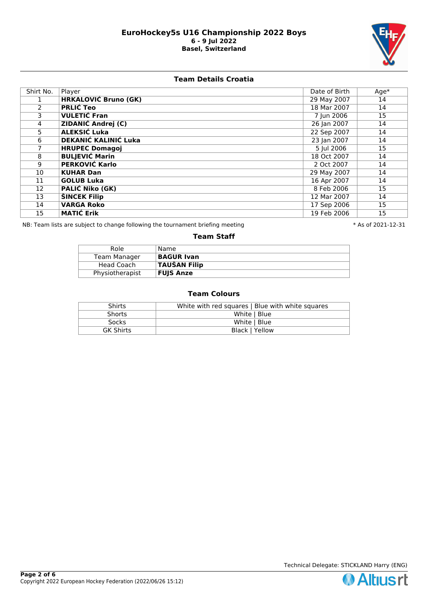

# **Team Details Croatia**

| Shirt No. | Player                      | Date of Birth | $Age*$ |
|-----------|-----------------------------|---------------|--------|
|           | <b>HRKALOVIĆ Bruno (GK)</b> | 29 May 2007   | 14     |
| 2         | <b>PRLIĆ Teo</b>            | 18 Mar 2007   | 14     |
| 3         | <b>VULETIĆ Fran</b>         | 7 Jun 2006    | 15     |
| 4         | <b>ZIDANIĆ Andrej (C)</b>   | 26 Jan 2007   | 14     |
| 5.        | ALEKSIĆ Luka                | 22 Sep 2007   | 14     |
| 6         | <b>DEKANIĆ KALINIĆ Luka</b> | 23 Jan 2007   | 14     |
|           | <b>HRUPEC Domagoj</b>       | 5 Jul 2006    | 15     |
| 8         | <b>BULJEVIĆ Marin</b>       | 18 Oct 2007   | 14     |
| 9         | <b>PERKOVIĆ Karlo</b>       | 2 Oct 2007    | 14     |
| 10        | <b>KUHAR Dan</b>            | 29 May 2007   | 14     |
| 11        | <b>GOLUB Luka</b>           | 16 Apr 2007   | 14     |
| 12        | <b>PALIĆ Niko (GK)</b>      | 8 Feb 2006    | 15     |
| 13        | <b>ŠINCEK Filip</b>         | 12 Mar 2007   | 14     |
| 14        | <b>VARGA Roko</b>           | 17 Sep 2006   | 15     |
| 15        | <b>MATIĆ Erik</b>           | 19 Feb 2006   | 15     |

NB: Team lists are subject to change following the tournament briefing meeting **the subset of 2021-12-31** \* As of 2021-12-31

#### **Team Staff**

| Role            | Name                |
|-----------------|---------------------|
| Team Manager    | <b>BAGUR Ivan</b>   |
| Head Coach      | <b>TAUŠAN Filip</b> |
| Physiotherapist | <b>FUJS Anze</b>    |

| Shirts           | White with red squares   Blue with white squares |
|------------------|--------------------------------------------------|
| <b>Shorts</b>    | White   Blue                                     |
| <b>Socks</b>     | White   Blue                                     |
| <b>GK Shirts</b> | Black   Yellow                                   |

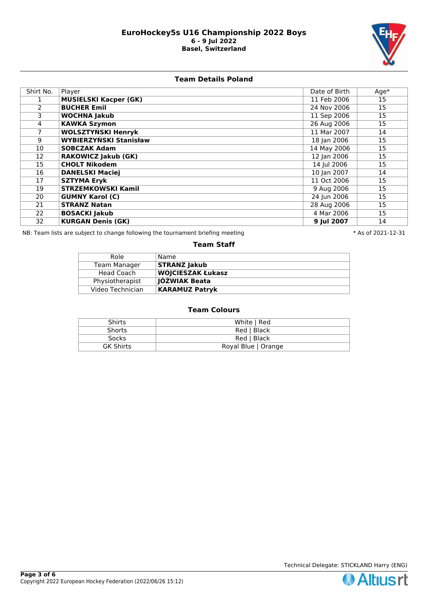

# **Team Details Poland**

| Shirt No.     | Player                        | Date of Birth | $Age*$ |
|---------------|-------------------------------|---------------|--------|
|               | <b>MUSIELSKI Kacper (GK)</b>  | 11 Feb 2006   | 15     |
| $\mathcal{P}$ | <b>BUCHER Emil</b>            | 24 Nov 2006   | 15     |
| 3             | <b>WOCHNA Jakub</b>           | 11 Sep 2006   | 15     |
| 4             | <b>KAWKA Szymon</b>           | 26 Aug 2006   | 15     |
|               | <b>WOLSZTYŃSKI Henryk</b>     | 11 Mar 2007   | 14     |
| 9             | <b>WYBIERZYŃSKI Stanisław</b> | 18 Jan 2006   | 15     |
| 10            | <b>SOBCZAK Adam</b>           | 14 May 2006   | 15     |
| 12            | <b>RAKOWICZ Jakub (GK)</b>    | 12 Jan 2006   | 15     |
| 15            | <b>CHOLT Nikodem</b>          | 14 Jul 2006   | 15     |
| 16            | <b>DANELSKI Maciej</b>        | 10 Jan 2007   | 14     |
| 17            | <b>SZTYMA Eryk</b>            | 11 Oct 2006   | 15     |
| 19            | <b>STRZEMKOWSKI Kamil</b>     | 9 Aug 2006    | 15     |
| 20            | <b>GUMNY Karol (C)</b>        | 24 Jun 2006   | 15     |
| 21            | <b>STRANZ Natan</b>           | 28 Aug 2006   | 15     |
| 22            | <b>BOSACKI Jakub</b>          | 4 Mar 2006    | 15     |
| 32            | <b>KURGAN Denis (GK)</b>      | 9 Jul 2007    | 14     |

NB: Team lists are subject to change following the tournament briefing meeting **the subset of 2021-12-31** \* As of 2021-12-31

### **Team Staff**

| Role             | Name                     |
|------------------|--------------------------|
| Team Manager     | <b>STRANZ Jakub</b>      |
| Head Coach       | <b>WOJCIESZAK Łukasz</b> |
| Physiotherapist  | <b>IOŹWIAK Beata</b>     |
| Video Technician | <b>KARAMUZ Patryk</b>    |

| Shirts           | White   Red         |
|------------------|---------------------|
| <b>Shorts</b>    | Red   Black         |
| Socks            | Red   Black         |
| <b>GK Shirts</b> | Royal Blue   Orange |

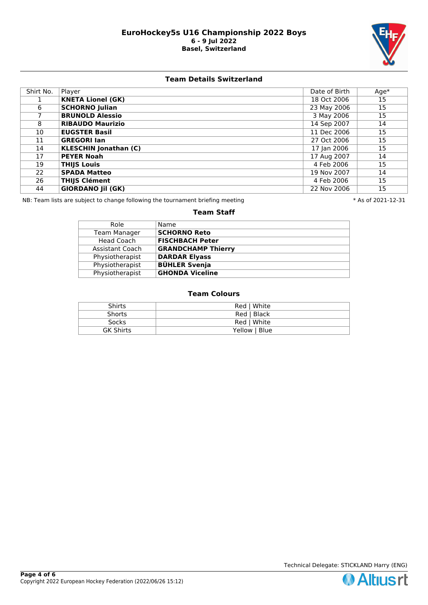

## **Team Details Switzerland**

| Shirt No. | Player                       | Date of Birth | $Age*$ |
|-----------|------------------------------|---------------|--------|
|           | <b>KNETA Lionel (GK)</b>     | 18 Oct 2006   | 15     |
| 6         | <b>SCHORNO Julian</b>        | 23 May 2006   | 15     |
|           | <b>BRUNOLD Alessio</b>       | 3 May 2006    | 15     |
| 8         | <b>RIBAUDO Maurizio</b>      | 14 Sep 2007   | 14     |
| 10        | <b>EUGSTER Basil</b>         | 11 Dec 2006   | 15     |
| 11        | <b>GREGORI Ian</b>           | 27 Oct 2006   | 15     |
| 14        | <b>KLESCHIN Jonathan (C)</b> | 17 Jan 2006   | 15     |
| 17        | <b>PEYER Noah</b>            | 17 Aug 2007   | 14     |
| 19        | <b>THIJS Louis</b>           | 4 Feb 2006    | 15     |
| 22        | <b>SPADA Matteo</b>          | 19 Nov 2007   | 14     |
| 26        | <b>THIJS Clément</b>         | 4 Feb 2006    | 15     |
| 44        | <b>GIORDANO Jil (GK)</b>     | 22 Nov 2006   | 15     |

NB: Team lists are subject to change following the tournament briefing meeting  $* A s$  of 2021-12-31

#### **Team Staff**

| Name                      |
|---------------------------|
| <b>SCHORNO Reto</b>       |
| <b>FISCHBACH Peter</b>    |
| <b>GRANDCHAMP Thierry</b> |
| <b>DARDAR Elyass</b>      |
| <b>BÜHLER Svenja</b>      |
| <b>GHONDA Viceline</b>    |
|                           |

| <b>Shirts</b>    | Red   White   |
|------------------|---------------|
| <b>Shorts</b>    | Red   Black   |
| <b>Socks</b>     | Red   White   |
| <b>GK Shirts</b> | Yellow   Blue |

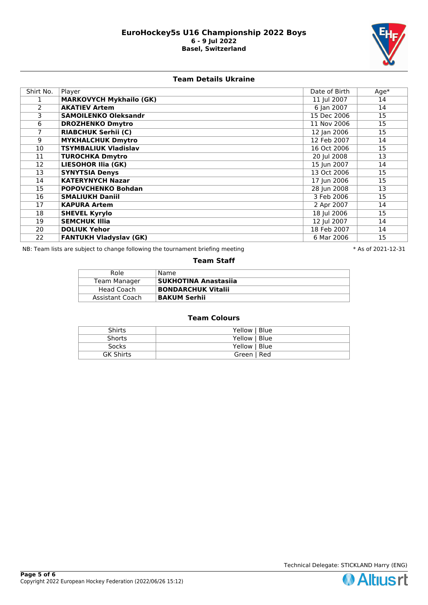

## **Team Details Ukraine**

| Shirt No. | Player                         | Date of Birth | $Age*$ |
|-----------|--------------------------------|---------------|--------|
|           | <b>MARKOVYCH Mykhailo (GK)</b> | 11 Jul 2007   | 14     |
| 2         | <b>AKATIEV Artem</b>           | 6 Jan 2007    | 14     |
| 3         | <b>SAMOILENKO Oleksandr</b>    | 15 Dec 2006   | 15     |
| 6         | <b>DROZHENKO Dmytro</b>        | 11 Nov 2006   | 15     |
|           | <b>RIABCHUK Serhii (C)</b>     | 12 Jan 2006   | 15     |
| 9         | <b>MYKHALCHUK Dmytro</b>       | 12 Feb 2007   | 14     |
| 10        | <b>TSYMBALIUK Vladislav</b>    | 16 Oct 2006   | 15     |
| 11        | <b>TUROCHKA Dmytro</b>         | 20 Jul 2008   | 13     |
| 12        | <b>LIESOHOR Ilia (GK)</b>      | 15 Jun 2007   | 14     |
| 13        | <b>SYNYTSIA Denys</b>          | 13 Oct 2006   | 15     |
| 14        | <b>KATERYNYCH Nazar</b>        | 17 Jun 2006   | 15     |
| 15        | <b>POPOVCHENKO Bohdan</b>      | 28 Jun 2008   | 13     |
| 16        | <b>SMALIUKH Daniil</b>         | 3 Feb 2006    | 15     |
| 17        | <b>KAPURA Artem</b>            | 2 Apr 2007    | 14     |
| 18        | <b>SHEVEL Kyrylo</b>           | 18 Jul 2006   | 15     |
| 19        | <b>SEMCHUK Illia</b>           | 12 Jul 2007   | 14     |
| 20        | <b>DOLIUK Yehor</b>            | 18 Feb 2007   | 14     |
| 22        | <b>FANTUKH Vladyslav (GK)</b>  | 6 Mar 2006    | 15     |

NB: Team lists are subject to change following the tournament briefing meeting **the subset of 2021-12-31** \* As of 2021-12-31

### **Team Staff**

| Role            | Name                        |
|-----------------|-----------------------------|
| Team Manager    | <b>SUKHOTINA Anastasiia</b> |
| Head Coach      | <b>BONDARCHUK Vitalii</b>   |
| Assistant Coach | <b>BAKUM Serhii</b>         |

| <b>Shirts</b>    | Yellow   Blue |
|------------------|---------------|
| <b>Shorts</b>    | Yellow   Blue |
| <b>Socks</b>     | Yellow   Blue |
| <b>GK Shirts</b> | Green   Red   |